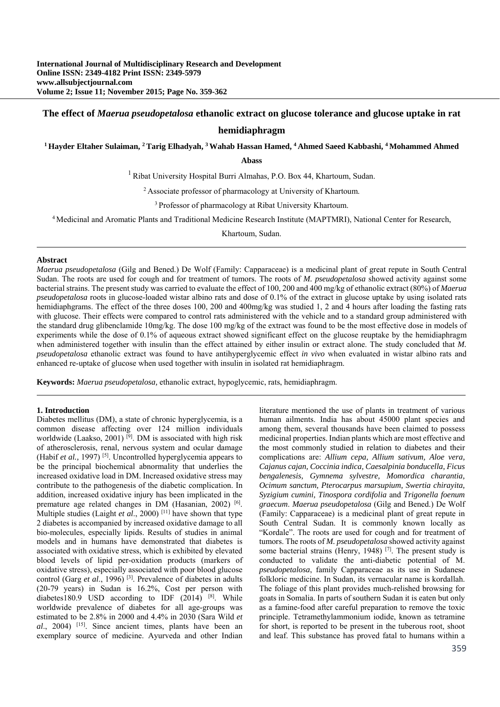# **The effect of** *Maerua pseudopetalosa* **ethanolic extract on glucose tolerance and glucose uptake in rat hemidiaphragm**

**1 Hayder Eltaher Sulaiman, 2 Tarig Elhadyah, 3 Wahab Hassan Hamed, 4 Ahmed Saeed Kabbashi, 4 Mohammed Ahmed** 

**Abass**

1 Ribat University Hospital Burri Almahas, P.O. Box 44, Khartoum, Sudan.

2 Associate professor of pharmacology at University of Khartoum.

3 Professor of pharmacology at Ribat University Khartoum.

4 Medicinal and Aromatic Plants and Traditional Medicine Research Institute (MAPTMRI), National Center for Research,

Khartoum, Sudan.

#### **Abstract**

*Maerua pseudopetalosa* (Gilg and Bened.) De Wolf (Family: Capparaceae) is a medicinal plant of great repute in South Central Sudan. The roots are used for cough and for treatment of tumors. The roots of *M. pseudopetalosa* showed activity against some bacterial strains. The present study was carried to evaluate the effect of 100, 200 and 400 mg/kg of ethanolic extract (80%) of *Maerua pseudopetalosa* roots in glucose-loaded wistar albino rats and dose of 0.1% of the extract in glucose uptake by using isolated rats hemidiaphgrams. The effect of the three doses 100, 200 and 400mg/kg was studied 1, 2 and 4 hours after loading the fasting rats with glucose. Their effects were compared to control rats administered with the vehicle and to a standard group administered with the standard drug glibenclamide 10mg/kg. The dose 100 mg/kg of the extract was found to be the most effective dose in models of experiments while the dose of 0.1% of aqueous extract showed significant effect on the glucose reuptake by the hemidiaphragm when administered together with insulin than the effect attained by either insulin or extract alone. The study concluded that *M*. *pseudopetalosa* ethanolic extract was found to have antihyperglycemic effect *in vivo* when evaluated in wistar albino rats and enhanced re-uptake of glucose when used together with insulin in isolated rat hemidiaphragm.

**Keywords:** *Maerua pseudopetalosa,* ethanolic extract, hypoglycemic, rats, hemidiaphragm.

#### **1. Introduction**

Diabetes mellitus (DM), a state of chronic hyperglycemia, is a common disease affecting over 124 million individuals worldwide (Laakso, 2001)<sup>[9]</sup>. DM is associated with high risk of atherosclerosis, renal, nervous system and ocular damage (Habif *et al.,* 1997) [5]. Uncontrolled hyperglycemia appears to be the principal biochemical abnormality that underlies the increased oxidative load in DM. Increased oxidative stress may contribute to the pathogenesis of the diabetic complication. In addition, increased oxidative injury has been implicated in the premature age related changes in DM (Hasanian, 2002) [6]. Multiple studies (Laight *et al.*, 2000)<sup>[11]</sup> have shown that type 2 diabetes is accompanied by increased oxidative damage to all bio-molecules, especially lipids. Results of studies in animal models and in humans have demonstrated that diabetes is associated with oxidative stress, which is exhibited by elevated blood levels of lipid per-oxidation products (markers of oxidative stress), especially associated with poor blood glucose control (Garg *et al.*, 1996)<sup>[3]</sup>. Prevalence of diabetes in adults (20-79 years) in Sudan is 16.2%, Cost per person with diabetes180.9 USD according to IDF  $(2014)$ <sup>[8]</sup>. While worldwide prevalence of diabetes for all age-groups was estimated to be 2.8% in 2000 and 4.4% in 2030 (Sara Wild *et al*., 2004) [15]. Since ancient times, plants have been an exemplary source of medicine. Ayurveda and other Indian

literature mentioned the use of plants in treatment of various human ailments. India has about 45000 plant species and among them, several thousands have been claimed to possess medicinal properties. Indian plants which are most effective and the most commonly studied in relation to diabetes and their complications are: *Allium cepa, Allium sativum, Aloe vera, Cajanus cajan, Coccinia indica, Caesalpinia bonducella, Ficus bengalenesis, Gymnema sylvestre, Momordica charantia, Ocimum sanctum, Pterocarpus marsupium, Swertia chirayita, Syzigium cumini, Tinospora cordifolia* and *Trigonella foenum graecum*. *Maerua pseudopetalosa* (Gilg and Bened.) De Wolf (Family: Capparaceae) is a medicinal plant of great repute in South Central Sudan. It is commonly known locally as "Kordale". The roots are used for cough and for treatment of tumors. The roots of *M. pseudopetalosa* showed activity against some bacterial strains (Henry, 1948)<sup>[7]</sup>. The present study is conducted to validate the anti-diabetic potential of M. *pseudopetalosa*, family Capparaceae as its use in Sudanese folkloric medicine. In Sudan, its vernacular name is kordallah. The foliage of this plant provides much-relished browsing for goats in Somalia. In parts of southern Sudan it is eaten but only as a famine-food after careful preparation to remove the toxic principle. Tetramethylammonium iodide, known as tetramine for short, is reported to be present in the tuberous root, shoot and leaf. This substance has proved fatal to humans within a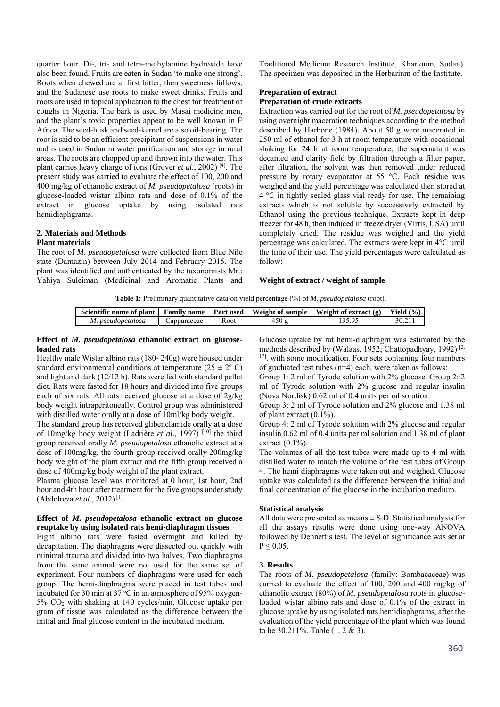quarter hour. Di-, tri- and tetra-methylamine hydroxide have also been found. Fruits are eaten in Sudan 'to make one strong'. Roots when chewed are at first bitter, then sweetness follows, and the Sudanese use roots to make sweet drinks. Fruits and roots are used in topical application to the chest for treatment of coughs in Nigeria. The bark is used by Masai medicine men, and the plant's toxic properties appear to be well known in E Africa. The seed-husk and seed-kernel are also oil-bearing. The root is said to be an efficient precipitant of suspensions in water and is used in Sudan in water purification and storage in rural areas. The roots are chopped up and thrown into the water. This plant carries heavy charge of ions (Grover *et al*., 2002) [4]. The present study was carried to evaluate the effect of 100, 200 and 400 mg/kg of ethanolic extract of *M. pseudopetalosa* (roots) in glucose-loaded wistar albino rats and dose of 0.1% of the extract in glucose uptake by using isolated rats hemidiaphgrams.

#### **2. Materials and Methods Plant materials**

The root of *M. pseudopetalosa* were collected from Blue Nile state (Damazin) between July 2014 and February 2015. The plant was identified and authenticated by the taxonomists Mr.: Yahiya Suleiman (Medicinal and Aromatic Plants and Traditional Medicine Research Institute, Khartoum, Sudan). The specimen was deposited in the Herbarium of the Institute.

# **Preparation of extract Preparation of crude extracts**

Extraction was carried out for the root of *M. pseudopetalosa* by using overnight maceration techniques according to the method described by Harbone (1984). About 50 g were macerated in 250 ml of ethanol for 3 h at room temperature with occasional shaking for 24 h at room temperature, the supernatant was decanted and clarity field by filtration through a filter paper, after filtration, the solvent was then removed under reduced pressure by rotary evaporator at 55 °C. Each residue was weighed and the yield percentage was calculated then stored at 4 °C in tightly sealed glass vial ready for use. The remaining extracts which is not soluble by successively extracted by Ethanol using the previous technique. Extracts kept in deep freezer for 48 h, then induced in freeze dryer (Virtis, USA) until completely dried. The residue was weighed and the yield percentage was calculated. The extracts were kept in 4°C until the time of their use. The yield percentages were calculated as follow:

## **Weight of extract / weight of sample**

**Table 1:** Preliminary quantitative data on yield percentage (%) of *M. pseudopetalosa* (root).

| Scientific name of plant | <b>Family name</b>  | <b>Part used</b> | Weight of sample | Weight of extract $(g)$ | Yield $(\% )$ |
|--------------------------|---------------------|------------------|------------------|-------------------------|---------------|
| M. pseudopetalosa        | <i>⊇</i> apparaceae | Koot             | 450 L            |                         | $-30.2$       |

#### **Effect of** *M. pseudopetalosa* **ethanolic extract on glucoseloaded rats**

Healthy male Wistar albino rats (180- 240g) were housed under standard environmental conditions at temperature ( $25 \pm 2^{\circ}$  C) and light and dark (12/12 h). Rats were fed with standard pellet diet. Rats were fasted for 18 hours and divided into five groups each of six rats. All rats received glucose at a dose of 2g/kg body weight intraperitoneally. Control group was administered with distilled water orally at a dose of 10ml/kg body weight.

The standard group has received glibenclamide orally at a dose of 10mg/kg body weight (Ladrière et al., 1997) <sup>[10]</sup> the third group received orally *M. pseudopetalosa* ethanolic extract at a dose of 100mg/kg, the fourth group received orally 200mg/kg body weight of the plant extract and the fifth group received a dose of 400mg/kg body weight of the plant extract.

Plasma glucose level was monitored at 0 hour, 1st hour, 2nd hour and 4th hour after treatment for the five groups under study (Abdolreza *et al*., 2012) [1].

## **Effect of** *M. pseudopetalosa* **ethanolic extract on glucose reuptake by using isolated rats hemi-diaphragm tissues**

Eight albino rats were fasted overnight and killed by decapitation. The diaphragms were dissected out quickly with minimal trauma and divided into two halves. Two diaphragms from the same animal were not used for the same set of experiment. Four numbers of diaphragms were used for each group. The hemi-diaphragms were placed in test tubes and incubated for 30 min at 37  $\rm{^{\circ}C}$  in an atmosphere of 95% oxygen- $5\%$  CO<sub>2</sub> with shaking at 140 cycles/min. Glucose uptake per gram of tissue was calculated as the difference between the initial and final glucose content in the incubated medium.

Glucose uptake by rat hemi-diaphragm was estimated by the methods described by (Walaas, 1952; Chattopadhyay, 1992)<sup>[2,</sup> <sup>17]</sup>, with some modification. Four sets containing four numbers of graduated test tubes (n=4) each, were taken as follows:

Group 1: 2 ml of Tyrode solution with 2% glucose. Group 2: 2 ml of Tyrode solution with 2% glucose and regular insulin (Nova Nordisk) 0.62 ml of 0.4 units per ml solution.

Group 3: 2 ml of Tyrode solution and 2% glucose and 1.38 ml of plant extract (0.1%).

Group 4: 2 ml of Tyrode solution with 2% glucose and regular insulin 0.62 ml of 0.4 units per ml solution and 1.38 ml of plant extract  $(0.1\%)$ .

The volumes of all the test tubes were made up to 4 ml with distilled water to match the volume of the test tubes of Group 4. The hemi diaphragms were taken out and weighed. Glucose uptake was calculated as the difference between the initial and final concentration of the glucose in the incubation medium.

# **Statistical analysis**

All data were presented as means  $\pm$  S.D. Statistical analysis for all the assays results were done using one-way ANOVA followed by Dennett's test. The level of significance was set at  $P \leq 0.05$ .

# **3. Results**

The roots of *M. pseudopetalosa* (family: Bombacaceae) was carried to evaluate the effect of 100, 200 and 400 mg/kg of ethanolic extract (80%) of *M. pseudopetalosa* roots in glucoseloaded wistar albino rats and dose of 0.1% of the extract in glucose uptake by using isolated rats hemidiaphgrams, after the evaluation of the yield percentage of the plant which was found to be 30.211%. Table (1, 2 & 3).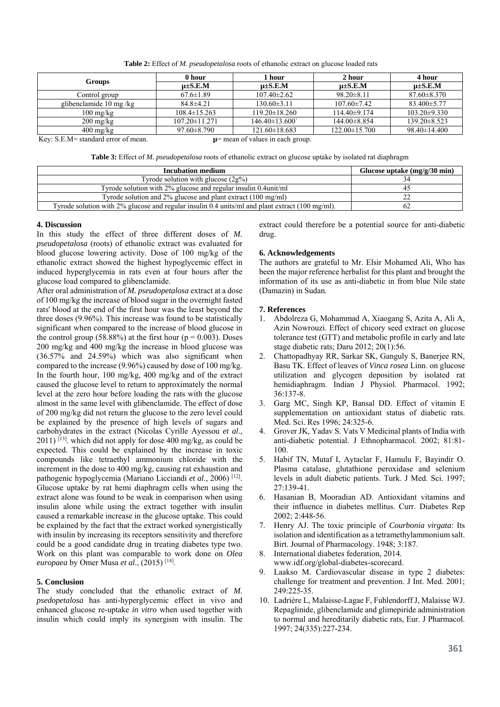**Table 2:** Effect of *M. pseudopetalosa* roots of ethanolic extract on glucose loaded rats

|                                   | 0 hour              | 1 hour              | 2 hour              | 4 hour             |
|-----------------------------------|---------------------|---------------------|---------------------|--------------------|
| Groups                            | $u\pm S.E.M$        | $u\pm S.E.M$        | $u\pm S.E.M$        | $u\pm S.E.M$       |
| Control group                     | $67.6 \pm 1.89$     | $107.40 \pm 2.62$   | $98.20 \pm 8.11$    | $87.60 \pm 8.370$  |
| glibenclamide 10 mg/kg            | $84.8 \pm 4.21$     | $130.60\pm3.11$     | $107.60 \pm 7.42$   | $83.400 \pm 5.77$  |
| $100 \text{ mg/kg}$               | $108.4 \pm 15.263$  | $119.20 \pm 18.260$ | $114.40\pm9.174$    | $103.20 \pm 9.330$ |
| $200 \frac{\text{mg}}{\text{kg}}$ | $107.20 \pm 11.271$ | $146.40\pm13.600$   | 144.00 ± 8.854      | $139.20 \pm 8.523$ |
| $400 \frac{\text{mg}}{\text{kg}}$ | $97.60 \pm 8.790$   | $121.60 \pm 18.683$ | $122.00 \pm 15.700$ | $98.40 \pm 14.400$ |

Key: S.E.M= standard error of mean. **µ**= mean of values in each group.

**Table 3:** Effect of *M. pseudopetalosa* roots of ethanolic extract on glucose uptake by isolated rat diaphragm

| <b>Incubation medium</b>                                                                           | Glucose uptake $(mg/g/30 min)$ |  |
|----------------------------------------------------------------------------------------------------|--------------------------------|--|
| Tyrode solution with glucose $(2g\%)$                                                              |                                |  |
| Tyrode solution with 2% glucose and regular insulin 0.4 unit/ml                                    |                                |  |
| Tyrode solution and $2\%$ glucose and plant extract (100 mg/ml)                                    |                                |  |
| Tyrode solution with $2\%$ glucose and regular insulin 0.4 units/ml and plant extract (100 mg/ml). |                                |  |

#### **4. Discussion**

In this study the effect of three different doses of *M. pseudopetalosa* (roots) of ethanolic extract was evaluated for blood glucose lowering activity. Dose of 100 mg/kg of the ethanolic extract showed the highest hypoglycemic effect in induced hyperglycemia in rats even at four hours after the glucose load compared to glibenclamide.

After oral administration of *M. pseudopetalosa* extract at a dose of 100 mg/kg the increase of blood sugar in the overnight fasted rats' blood at the end of the first hour was the least beyond the three doses (9.96%). This increase was found to be statistically significant when compared to the increase of blood glucose in the control group (58.88%) at the first hour ( $p = 0.003$ ). Doses 200 mg/kg and 400 mg/kg the increase in blood glucose was (36.57% and 24.59%) which was also significant when compared to the increase (9.96%) caused by dose of 100 mg/kg. In the fourth hour, 100 mg/kg, 400 mg/kg and of the extract caused the glucose level to return to approximately the normal level at the zero hour before loading the rats with the glucose almost in the same level with glibenclamide. The effect of dose of 200 mg/kg did not return the glucose to the zero level could be explained by the presence of high levels of sugars and carbohydrates in the extract (Nicolas Cyrille Ayessou *et al*.,  $2011$ ) <sup>[13]</sup>. which did not apply for dose 400 mg/kg, as could be expected. This could be explained by the increase in toxic compounds like tetraethyl ammonium chloride with the increment in the dose to 400 mg/kg, causing rat exhaustion and pathogenic hypoglycemia (Mariano Licciandi *et al*., 2006) [12]. Glucose uptake by rat hemi diaphragm cells when using the extract alone was found to be weak in comparison when using insulin alone while using the extract together with insulin caused a remarkable increase in the glucose uptake. This could be explained by the fact that the extract worked synergistically with insulin by increasing its receptors sensitivity and therefore could be a good candidate drug in treating diabetes type two. Work on this plant was comparable to work done on *Olea europaea* by Omer Musa *et al*., (2015) [14].

## **5. Conclusion**

The study concluded that the ethanolic extract of *M. psedopetalosa* has anti-hyperglycemic effect in vivo and enhanced glucose re-uptake *in vitro* when used together with insulin which could imply its synergism with insulin. The

extract could therefore be a potential source for anti-diabetic drug.

## **6. Acknowledgements**

The authors are grateful to Mr. Elsir Mohamed Ali, Who has been the major reference herbalist for this plant and brought the information of its use as anti-diabetic in from blue Nile state (Damazin) in Sudan.

## **7. References**

- 1. Abdolreza G, Mohammad A, Xiaogang S, Azita A, Ali A, Azin Nowrouzi. Effect of chicory seed extract on glucose tolerance test (GTT) and metabolic profile in early and late stage diabetic rats; Daru 2012; 20(1):56.
- 2. Chattopadhyay RR, Sarkar SK, Ganguly S, Banerjee RN, Basu TK. Effect of leaves of *Vinca rosea* Linn. on glucose utilization and glycogen deposition by isolated rat hemidiaphragm. Indian J Physiol. Pharmacol. 1992; 36:137-8.
- 3. Garg MC, Singh KP, Bansal DD. Effect of vitamin E supplementation on antioxidant status of diabetic rats. Med. Sci. Res 1996; 24:325-6.
- 4. Grover JK, Yadav S. Vats V Medicinal plants of India with anti-diabetic potential. J Ethnopharmacol. 2002; 81:81- 100.
- 5. Habif TN, Mutaf I, Aytaclar F, Hamulu F, Bayindir O. Plasma catalase, glutathione peroxidase and selenium levels in adult diabetic patients. Turk. J Med. Sci. 1997;  $27.139 - 41$
- 6. Hasanian B, Mooradian AD. Antioxidant vitamins and their influence in diabetes mellitus. Curr. Diabetes Rep 2002; 2:448-56.
- 7. Henry AJ. The toxic principle of *Courbonia virgata*: Its isolation and identification as a tetramethylammonium salt. Birt. Journal of Pharmacology. 1948; 3:187.
- International diabetes federation, 2014. www.idf.org/global-diabetes-scorecard.
- 9. Laakso M. Cardiovascular disease in type 2 diabetes: challenge for treatment and prevention. J Int. Med. 2001; 249:225-35.
- 10. Ladrière L, Malaisse-Lagae F, Fuhlendorff J, Malaisse WJ. Repaglinide, glibenclamide and glimepiride administration to normal and hereditarily diabetic rats, Eur. J Pharmacol. 1997; 24(335):227-234.